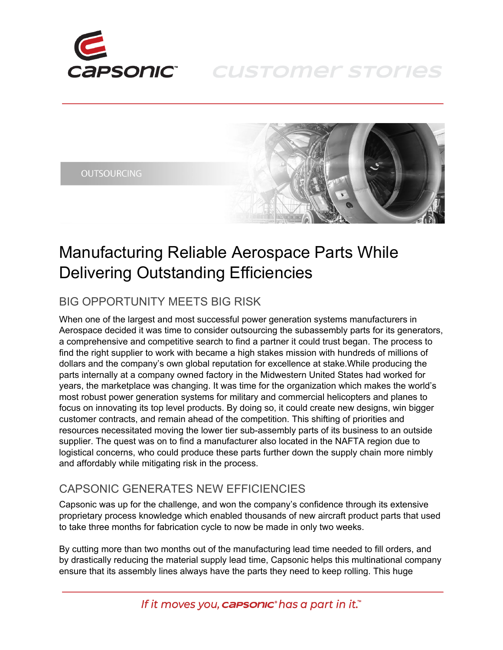

## **CUSTOMER STORIES**





# Manufacturing Reliable Aerospace Parts While Delivering Outstanding Efficiencies

## BIG OPPORTUNITY MEETS BIG RISK

When one of the largest and most successful power generation systems manufacturers in Aerospace decided it was time to consider outsourcing the subassembly parts for its generators, a comprehensive and competitive search to find a partner it could trust began. The process to find the right supplier to work with became a high stakes mission with hundreds of millions of dollars and the company's own global reputation for excellence at stake.While producing the parts internally at a company owned factory in the Midwestern United States had worked for years, the marketplace was changing. It was time for the organization which makes the world's most robust power generation systems for military and commercial helicopters and planes to focus on innovating its top level products. By doing so, it could create new designs, win bigger customer contracts, and remain ahead of the competition. This shifting of priorities and resources necessitated moving the lower tier sub-assembly parts of its business to an outside supplier. The quest was on to find a manufacturer also located in the NAFTA region due to logistical concerns, who could produce these parts further down the supply chain more nimbly and affordably while mitigating risk in the process.

#### CAPSONIC GENERATES NEW EFFICIENCIES

Capsonic was up for the challenge, and won the company's confidence through its extensive proprietary process knowledge which enabled thousands of new aircraft product parts that used to take three months for fabrication cycle to now be made in only two weeks.

By cutting more than two months out of the manufacturing lead time needed to fill orders, and by drastically reducing the material supply lead time, Capsonic helps this multinational company ensure that its assembly lines always have the parts they need to keep rolling. This huge

If it moves you, **carsonic** has a part in it.